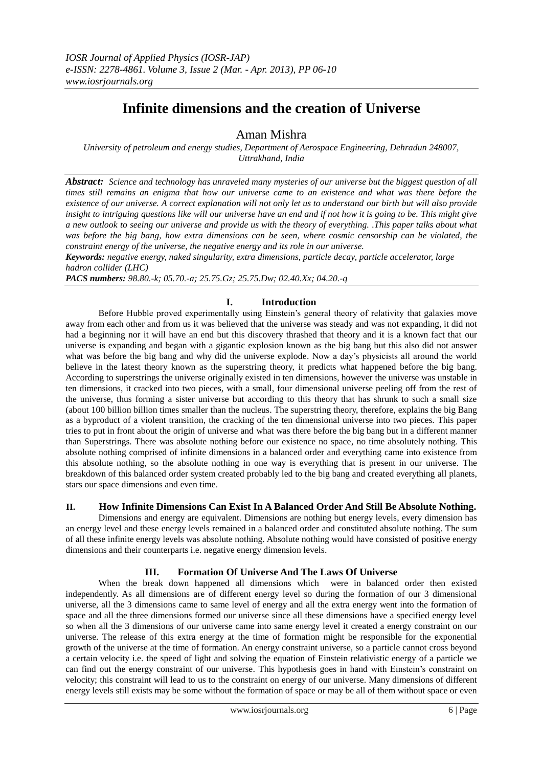# **Infinite dimensions and the creation of Universe**

# Aman Mishra

*University of petroleum and energy studies, Department of Aerospace Engineering, Dehradun 248007, Uttrakhand, India*

*Abstract: Science and technology has unraveled many mysteries of our universe but the biggest question of all times still remains an enigma that how our universe came to an existence and what was there before the existence of our universe. A correct explanation will not only let us to understand our birth but will also provide insight to intriguing questions like will our universe have an end and if not how it is going to be. This might give a new outlook to seeing our universe and provide us with the theory of everything. .This paper talks about what was before the big bang, how extra dimensions can be seen, where cosmic censorship can be violated, the constraint energy of the universe, the negative energy and its role in our universe.*

*Keywords: negative energy, naked singularity, extra dimensions, particle decay, particle accelerator, large hadron collider (LHC)*

*PACS numbers: 98.80.-k; 05.70.-a; 25.75.Gz; 25.75.Dw; 02.40.Xx; 04.20.-q*

## **I. Introduction**

Before Hubble proved experimentally using Einstein's general theory of relativity that galaxies move away from each other and from us it was believed that the universe was steady and was not expanding, it did not had a beginning nor it will have an end but this discovery thrashed that theory and it is a known fact that our universe is expanding and began with a gigantic explosion known as the big bang but this also did not answer what was before the big bang and why did the universe explode. Now a day's physicists all around the world believe in the latest theory known as the superstring theory, it predicts what happened before the big bang. According to superstrings the universe originally existed in ten dimensions, however the universe was unstable in ten dimensions, it cracked into two pieces, with a small, four dimensional universe peeling off from the rest of the universe, thus forming a sister universe but according to this theory that has shrunk to such a small size (about 100 billion billion times smaller than the nucleus. The superstring theory, therefore, explains the big Bang as a byproduct of a violent transition, the cracking of the ten dimensional universe into two pieces. This paper tries to put in front about the origin of universe and what was there before the big bang but in a different manner than Superstrings. There was absolute nothing before our existence no space, no time absolutely nothing. This absolute nothing comprised of infinite dimensions in a balanced order and everything came into existence from this absolute nothing, so the absolute nothing in one way is everything that is present in our universe. The breakdown of this balanced order system created probably led to the big bang and created everything all planets, stars our space dimensions and even time.

### **II. How Infinite Dimensions Can Exist In A Balanced Order And Still Be Absolute Nothing.**

Dimensions and energy are equivalent. Dimensions are nothing but energy levels, every dimension has an energy level and these energy levels remained in a balanced order and constituted absolute nothing. The sum of all these infinite energy levels was absolute nothing. Absolute nothing would have consisted of positive energy dimensions and their counterparts i.e. negative energy dimension levels.

#### **III. Formation Of Universe And The Laws Of Universe**

When the break down happened all dimensions which were in balanced order then existed independently. As all dimensions are of different energy level so during the formation of our 3 dimensional universe, all the 3 dimensions came to same level of energy and all the extra energy went into the formation of space and all the three dimensions formed our universe since all these dimensions have a specified energy level so when all the 3 dimensions of our universe came into same energy level it created a energy constraint on our universe. The release of this extra energy at the time of formation might be responsible for the exponential growth of the universe at the time of formation. An energy constraint universe, so a particle cannot cross beyond a certain velocity i.e. the speed of light and solving the equation of Einstein relativistic energy of a particle we can find out the energy constraint of our universe. This hypothesis goes in hand with Einstein's constraint on velocity; this constraint will lead to us to the constraint on energy of our universe. Many dimensions of different energy levels still exists may be some without the formation of space or may be all of them without space or even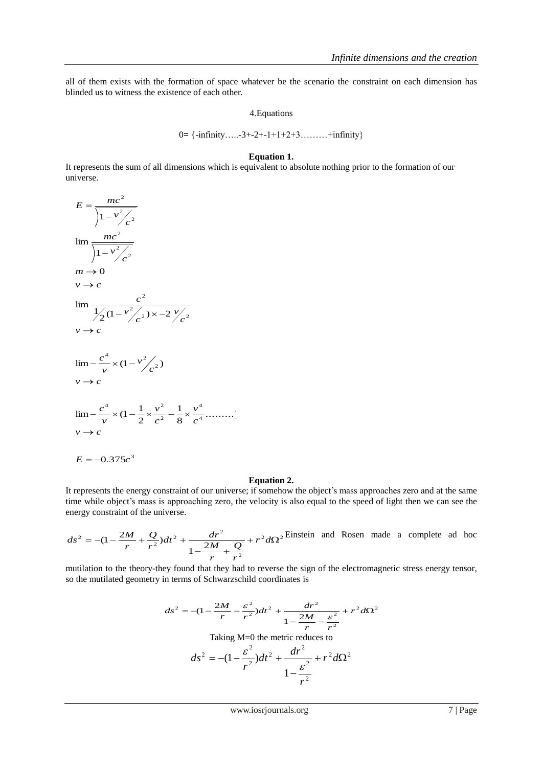all of them exists with the formation of space whatever be the scenario the constraint on each dimension has blinded us to witness the existence of each other.

4.Equations

0**=** {-infinity…..-3+-2+-1+1+2+3………+infinity}

#### **Equation 1.**

It represents the sum of all dimensions which is equivalent to absolute nothing prior to the formation of our universe.

$$
E = \frac{mc^2}{\sqrt{1 - v^2/c^2}}
$$
  
\n
$$
\lim \frac{mc^2}{\sqrt{1 - v^2/c^2}}
$$
  
\n
$$
m \to 0
$$
  
\n
$$
v \to c
$$
  
\n
$$
\lim \frac{c^2}{\sqrt{2(1 - v^2/c^2)}} \times -2 \frac{v}{c^2}
$$
  
\n
$$
v \to c
$$
  
\n
$$
\lim -\frac{c^4}{v} \times (1 - v^2/c^2)
$$
  
\n
$$
v \to c
$$
  
\n
$$
\lim -\frac{c^4}{v} \times (1 - \frac{1}{2} \times \frac{v^2}{c^2} - \frac{1}{8} \times \frac{v^4}{c^4} \dots)
$$
  
\n
$$
v \to c
$$
  
\n
$$
E = -0.375c^3
$$

#### **Equation 2.**

It represents the energy constraint of our universe; if somehow the object's mass approaches zero and at the same time while object's mass is approaching zero, the velocity is also equal to the speed of light then we can see the energy constraint of the universe.

$$
ds^{2} = -(1 - \frac{2M}{r} + \frac{Q}{r^{2}})dt^{2} + \frac{dr^{2}}{1 - \frac{2M}{r} + \frac{Q}{r^{2}}} + r^{2}d\Omega^{2}
$$
Einstein and Rosen made a complete ad hoc

mutilation to the theory-they found that they had to reverse the sign of the electromagnetic stress energy tensor, so the mutilated geometry in terms of Schwarzschild coordinates is

$$
ds^{2} = -(1 - \frac{2M}{r} - \frac{\varepsilon^{2}}{r^{2}})dt^{2} + \frac{dr^{2}}{1 - \frac{2M}{r} - \frac{\varepsilon^{2}}{r^{2}}} + r^{2}d\Omega^{2}
$$
  
Taking M=0 the metric reduces to  

$$
ds^{2} = -(1 - \frac{\varepsilon^{2}}{r^{2}})dt^{2} + \frac{dr^{2}}{1 - \frac{\varepsilon^{2}}{r^{2}}} + r^{2}d\Omega^{2}
$$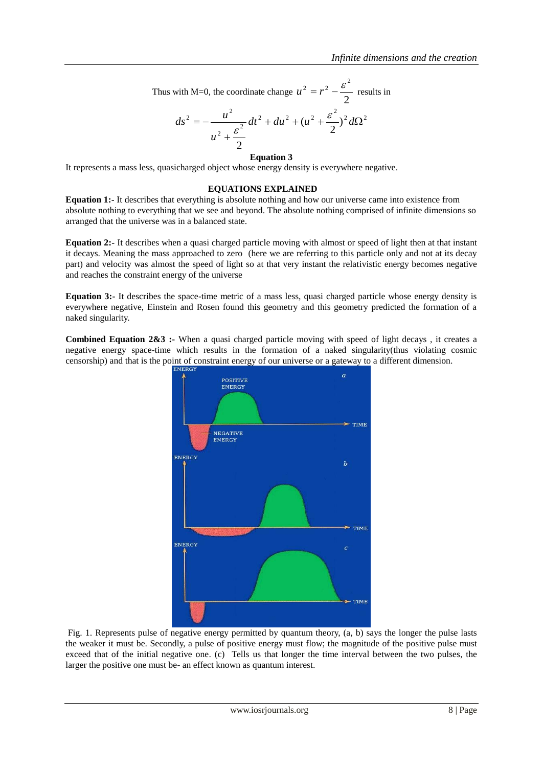Thus with M=0, the coordinate change 
$$
u^2 = r^2 - \frac{\varepsilon^2}{2}
$$
 results in

$$
ds^{2} = -\frac{u^{2}}{u^{2} + \frac{\varepsilon^{2}}{2}}dt^{2} + du^{2} + (u^{2} + \frac{\varepsilon^{2}}{2})^{2} d\Omega^{2}
$$

#### **Equation 3**

It represents a mass less, quasicharged object whose energy density is everywhere negative.

#### **EQUATIONS EXPLAINED**

**Equation 1:-** It describes that everything is absolute nothing and how our universe came into existence from absolute nothing to everything that we see and beyond. The absolute nothing comprised of infinite dimensions so arranged that the universe was in a balanced state.

**Equation 2:-** It describes when a quasi charged particle moving with almost or speed of light then at that instant it decays. Meaning the mass approached to zero (here we are referring to this particle only and not at its decay part) and velocity was almost the speed of light so at that very instant the relativistic energy becomes negative and reaches the constraint energy of the universe

**Equation 3:-** It describes the space-time metric of a mass less, quasi charged particle whose energy density is everywhere negative, Einstein and Rosen found this geometry and this geometry predicted the formation of a naked singularity.

**Combined Equation 2&3** :- When a quasi charged particle moving with speed of light decays, it creates a negative energy space-time which results in the formation of a naked singularity(thus violating cosmic censorship) and that is the point of constraint energy of our universe or a gateway to a different dimension.



Fig. 1. Represents pulse of negative energy permitted by quantum theory, (a, b) says the longer the pulse lasts the weaker it must be. Secondly, a pulse of positive energy must flow; the magnitude of the positive pulse must exceed that of the initial negative one. (c) Tells us that longer the time interval between the two pulses, the larger the positive one must be- an effect known as quantum interest.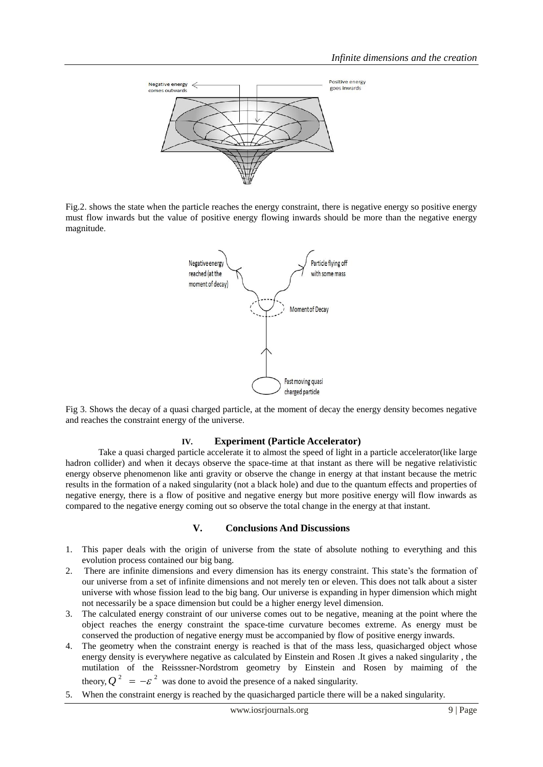

Fig.2. shows the state when the particle reaches the energy constraint, there is negative energy so positive energy must flow inwards but the value of positive energy flowing inwards should be more than the negative energy magnitude.



Fig 3. Shows the decay of a quasi charged particle, at the moment of decay the energy density becomes negative and reaches the constraint energy of the universe.

#### **IV. Experiment (Particle Accelerator)**

Take a quasi charged particle accelerate it to almost the speed of light in a particle accelerator(like large hadron collider) and when it decays observe the space-time at that instant as there will be negative relativistic energy observe phenomenon like anti gravity or observe the change in energy at that instant because the metric results in the formation of a naked singularity (not a black hole) and due to the quantum effects and properties of negative energy, there is a flow of positive and negative energy but more positive energy will flow inwards as compared to the negative energy coming out so observe the total change in the energy at that instant.

#### **V. Conclusions And Discussions**

- 1. This paper deals with the origin of universe from the state of absolute nothing to everything and this evolution process contained our big bang.
- 2. There are infinite dimensions and every dimension has its energy constraint. This state's the formation of our universe from a set of infinite dimensions and not merely ten or eleven. This does not talk about a sister universe with whose fission lead to the big bang. Our universe is expanding in hyper dimension which might not necessarily be a space dimension but could be a higher energy level dimension.
- 3. The calculated energy constraint of our universe comes out to be negative, meaning at the point where the object reaches the energy constraint the space-time curvature becomes extreme. As energy must be conserved the production of negative energy must be accompanied by flow of positive energy inwards.
- 4. The geometry when the constraint energy is reached is that of the mass less, quasicharged object whose energy density is everywhere negative as calculated by Einstein and Rosen .It gives a naked singularity , the mutilation of the Reisssner-Nordstrom geometry by Einstein and Rosen by maiming of the theory,  $Q^2 = -\varepsilon^2$  was done to avoid the presence of a naked singularity.
- 5. When the constraint energy is reached by the quasicharged particle there will be a naked singularity.